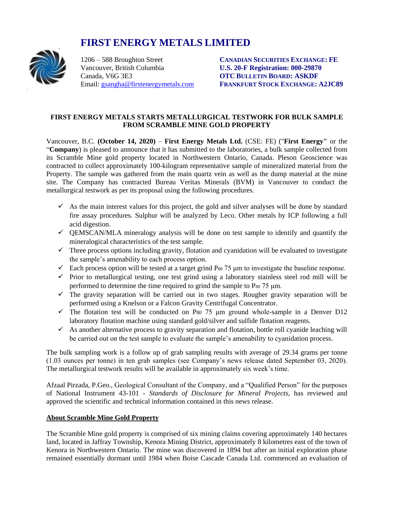# **FIRST ENERGY METALS LIMITED**



Vancouver, British Columbia **U.S. 20-F Registration: 000-29870** Canada, V6G 3E3 **OTC BULLETIN BOARD: ASKDF**

1206 – 588 Broughton Street **CANADIAN SECURITIES EXCHANGE: FE** Email: [gsangha@firstenergymetals.com](mailto:gsangha@firstenergymetals.com) **FRANKFURT STOCK EXCHANGE: A2JC89**

## **FIRST ENERGY METALS STARTS METALLURGICAL TESTWORK FOR BULK SAMPLE FROM SCRAMBLE MINE GOLD PROPERTY**

Vancouver, B.C. **(October 14, 2020)** – **First Energy Metals Ltd.** (CSE: FE) ("**First Energy"** or the "**Company**) is pleased to announce that it has submitted to the laboratories, a bulk sample collected from its Scramble Mine gold property located in Northwestern Ontario, Canada. Pleson Geoscience was contracted to collect approximately 100-kilogram representative sample of mineralized material from the Property. The sample was gathered from the main quartz vein as well as the dump material at the mine site. The Company has contracted Bureau Veritas Minerals (BVM) in Vancouver to conduct the metallurgical testwork as per its proposal using the following procedures.

- $\checkmark$  As the main interest values for this project, the gold and silver analyses will be done by standard fire assay procedures. Sulphur will be analyzed by Leco. Other metals by ICP following a full acid digestion.
- $\checkmark$  QEMSCAN/MLA mineralogy analysis will be done on test sample to identify and quantify the mineralogical characteristics of the test sample.
- $\checkmark$  Three process options including gravity, flotation and cyanidation will be evaluated to investigate the sample's amenability to each process option.
- $\checkmark$  Each process option will be tested at a target grind P<sub>80</sub> 75  $\mu$ m to investigate the baseline response.
- $\checkmark$  Prior to metallurgical testing, one test grind using a laboratory stainless steel rod mill will be performed to determine the time required to grind the sample to  $P_{80}$  75  $\mu$ m.
- $\checkmark$  The gravity separation will be carried out in two stages. Rougher gravity separation will be performed using a Knelson or a Falcon Gravity Centrifugal Concentrator.
- $\checkmark$  The flotation test will be conducted on P<sub>80</sub> 75  $\mu$ m ground whole-sample in a Denver D12 laboratory flotation machine using standard gold/silver and sulfide flotation reagents.
- $\checkmark$  As another alternative process to gravity separation and flotation, bottle roll cyanide leaching will be carried out on the test sample to evaluate the sample's amenability to cyanidation process.

The bulk sampling work is a follow up of grab sampling results with average of 29.34 grams per tonne (1.03 ounces per tonne) in ten grab samples (see Company's news release dated September 03, 2020). The metallurgical testwork results will be available in approximately six week's time.

Afzaal Pirzada, P.Geo., Geological Consultant of the Company, and a "Qualified Person" for the purposes of National Instrument 43-101 - *Standards of Disclosure for Mineral Projects*, has reviewed and approved the scientific and technical information contained in this news release.

# **About Scramble Mine Gold Property**

The Scramble Mine gold property is comprised of six mining claims covering approximately 140 hectares land, located in Jaffray Township, Kenora Mining District, approximately 8 kilometres east of the town of Kenora in Northwestern Ontario. The mine was discovered in 1894 but after an initial exploration phase remained essentially dormant until 1984 when Boise Cascade Canada Ltd. commenced an evaluation of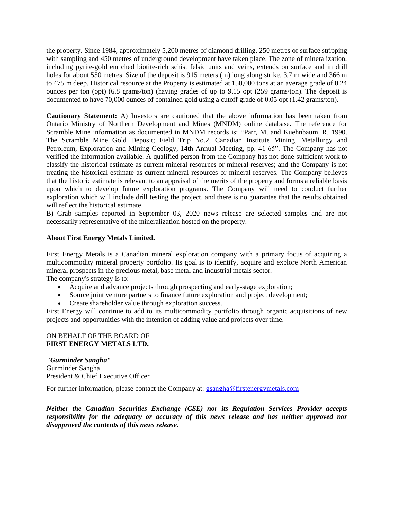the property. Since 1984, approximately 5,200 metres of diamond drilling, 250 metres of surface stripping with sampling and 450 metres of underground development have taken place. The zone of mineralization, including pyrite-gold enriched biotite-rich schist felsic units and veins, extends on surface and in drill holes for about 550 metres. Size of the deposit is 915 meters (m) long along strike, 3.7 m wide and 366 m to 475 m deep. Historical resource at the Property is estimated at 150,000 tons at an average grade of 0.24 ounces per ton (opt) (6.8 grams/ton) (having grades of up to 9.15 opt (259 grams/ton). The deposit is documented to have 70,000 ounces of contained gold using a cutoff grade of 0.05 opt (1.42 grams/ton).

**Cautionary Statement:** A) Investors are cautioned that the above information has been taken from Ontario Ministry of Northern Development and Mines (MNDM) online database. The reference for Scramble Mine information as documented in MNDM records is: "Parr, M. and Kuehnbaum, R. 1990. The Scramble Mine Gold Deposit; Field Trip No.2, Canadian Institute Mining, Metallurgy and Petroleum, Exploration and Mining Geology, 14th Annual Meeting, pp. 41-65". The Company has not verified the information available. A qualified person from the Company has not done sufficient work to classify the historical estimate as current mineral resources or mineral reserves; and the Company is not treating the historical estimate as current mineral resources or mineral reserves. The Company believes that the historic estimate is relevant to an appraisal of the merits of the property and forms a reliable basis upon which to develop future exploration programs. The Company will need to conduct further exploration which will include drill testing the project, and there is no guarantee that the results obtained will reflect the historical estimate.

B) Grab samples reported in September 03, 2020 news release are selected samples and are not necessarily representative of the mineralization hosted on the property.

## **About First Energy Metals Limited.**

First Energy Metals is a Canadian mineral exploration company with a primary focus of acquiring a multicommodity mineral property portfolio. Its goal is to identify, acquire and explore North American mineral prospects in the precious metal, base metal and industrial metals sector.

The company's strategy is to:

- Acquire and advance projects through prospecting and early-stage exploration;
- Source joint venture partners to finance future exploration and project development;
- Create shareholder value through exploration success.

First Energy will continue to add to its multicommodity portfolio through organic acquisitions of new projects and opportunities with the intention of adding value and projects over time.

### ON BEHALF OF THE BOARD OF **FIRST ENERGY METALS LTD.**

*"Gurminder Sangha"* Gurminder Sangha President & Chief Executive Officer

For further information, please contact the Company at: [gsangha@firstenergymetals.com](mailto:gsangha@firstenergymetals.com)

*Neither the Canadian Securities Exchange (CSE) nor its Regulation Services Provider accepts*  responsibility for the adequacy or accuracy of this news release and has neither approved nor *disapproved the contents of this news release.*